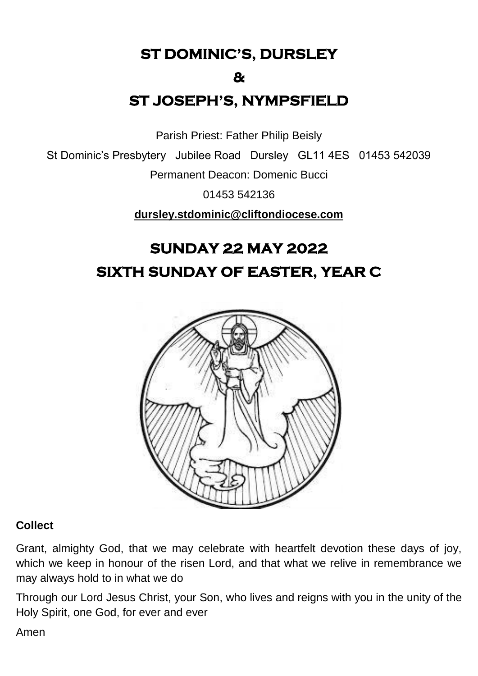**ST DOMINIC'S, DURSLEY** 

#### **&**

# **ST JOSEPH'S, NYMPSFIELD**

Parish Priest: Father Philip Beisly

St Dominic's Presbytery Jubilee Road Dursley GL11 4ES 01453 542039

Permanent Deacon: Domenic Bucci

01453 542136

**[dursley.stdominic@cliftondiocese.com](mailto:dursley.stdominic@cliftondiocese.com)**

# **SUNDAY 22 MAY 2022 SIXTH SUNDAY OF EASTER, YEAR C**



#### **Collect**

Grant, almighty God, that we may celebrate with heartfelt devotion these days of joy, which we keep in honour of the risen Lord, and that what we relive in remembrance we may always hold to in what we do

Through our Lord Jesus Christ, your Son, who lives and reigns with you in the unity of the Holy Spirit, one God, for ever and ever

Amen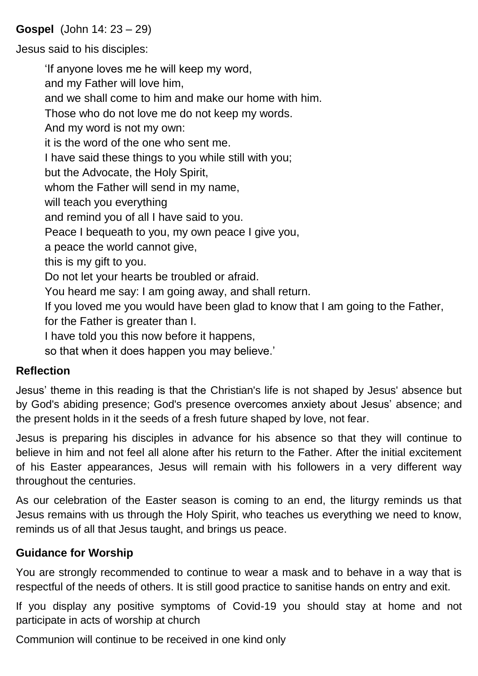#### **Gospel** (John 14: 23 – 29)

Jesus said to his disciples:

'If anyone loves me he will keep my word, and my Father will love him, and we shall come to him and make our home with him. Those who do not love me do not keep my words. And my word is not my own: it is the word of the one who sent me. I have said these things to you while still with you; but the Advocate, the Holy Spirit, whom the Father will send in my name, will teach you everything and remind you of all I have said to you. Peace I bequeath to you, my own peace I give you, a peace the world cannot give, this is my gift to you. Do not let your hearts be troubled or afraid. You heard me say: I am going away, and shall return. If you loved me you would have been glad to know that I am going to the Father, for the Father is greater than I. I have told you this now before it happens, so that when it does happen you may believe.'

#### **Reflection**

Jesus' theme in this reading is that the Christian's life is not shaped by Jesus' absence but by God's abiding presence; God's presence overcomes anxiety about Jesus' absence; and the present holds in it the seeds of a fresh future shaped by love, not fear.

Jesus is preparing his disciples in advance for his absence so that they will continue to believe in him and not feel all alone after his return to the Father. After the initial excitement of his Easter appearances, Jesus will remain with his followers in a very different way throughout the centuries.

As our celebration of the Easter season is coming to an end, the liturgy reminds us that Jesus remains with us through the Holy Spirit, who teaches us everything we need to know, reminds us of all that Jesus taught, and brings us peace.

#### **Guidance for Worship**

You are strongly recommended to continue to wear a mask and to behave in a way that is respectful of the needs of others. It is still good practice to sanitise hands on entry and exit.

If you display any positive symptoms of Covid-19 you should stay at home and not participate in acts of worship at church

Communion will continue to be received in one kind only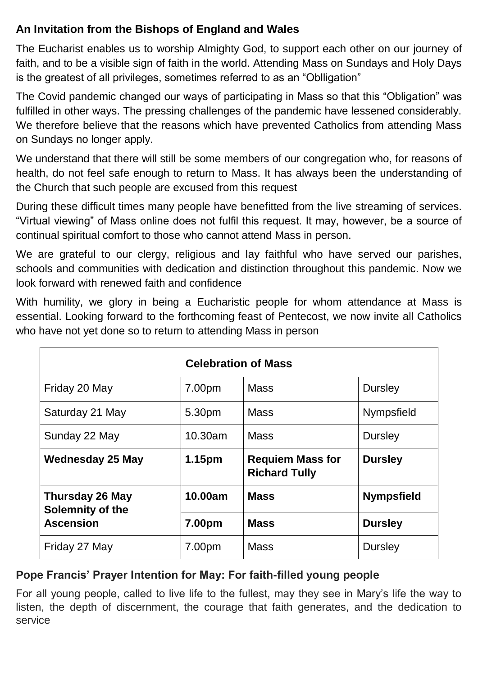# **An Invitation from the Bishops of England and Wales**

The Eucharist enables us to worship Almighty God, to support each other on our journey of faith, and to be a visible sign of faith in the world. Attending Mass on Sundays and Holy Days is the greatest of all privileges, sometimes referred to as an "Oblligation"

The Covid pandemic changed our ways of participating in Mass so that this "Obligation" was fulfilled in other ways. The pressing challenges of the pandemic have lessened considerably. We therefore believe that the reasons which have prevented Catholics from attending Mass on Sundays no longer apply.

We understand that there will still be some members of our congregation who, for reasons of health, do not feel safe enough to return to Mass. It has always been the understanding of the Church that such people are excused from this request

During these difficult times many people have benefitted from the live streaming of services. "Virtual viewing" of Mass online does not fulfil this request. It may, however, be a source of continual spiritual comfort to those who cannot attend Mass in person.

We are grateful to our clergy, religious and lay faithful who have served our parishes, schools and communities with dedication and distinction throughout this pandemic. Now we look forward with renewed faith and confidence

With humility, we glory in being a Eucharistic people for whom attendance at Mass is essential. Looking forward to the forthcoming feast of Pentecost, we now invite all Catholics who have not yet done so to return to attending Mass in person

| <b>Celebration of Mass</b>                                     |                    |                                                 |                   |
|----------------------------------------------------------------|--------------------|-------------------------------------------------|-------------------|
| Friday 20 May                                                  | 7.00pm             | <b>Mass</b>                                     | <b>Dursley</b>    |
| Saturday 21 May                                                | 5.30pm             | <b>Mass</b>                                     | <b>Nympsfield</b> |
| Sunday 22 May                                                  | 10.30am            | <b>Mass</b>                                     | <b>Dursley</b>    |
| <b>Wednesday 25 May</b>                                        | 1.15 <sub>pm</sub> | <b>Requiem Mass for</b><br><b>Richard Tully</b> | <b>Dursley</b>    |
| <b>Thursday 26 May</b><br>Solemnity of the<br><b>Ascension</b> | 10.00am            | <b>Mass</b>                                     | <b>Nympsfield</b> |
|                                                                | 7.00pm             | <b>Mass</b>                                     | <b>Dursley</b>    |
| Friday 27 May                                                  | 7.00pm             | <b>Mass</b>                                     | <b>Dursley</b>    |

# **Pope Francis' Prayer Intention for May: For faith-filled young people**

For all young people, called to live life to the fullest, may they see in Mary's life the way to listen, the depth of discernment, the courage that faith generates, and the dedication to service